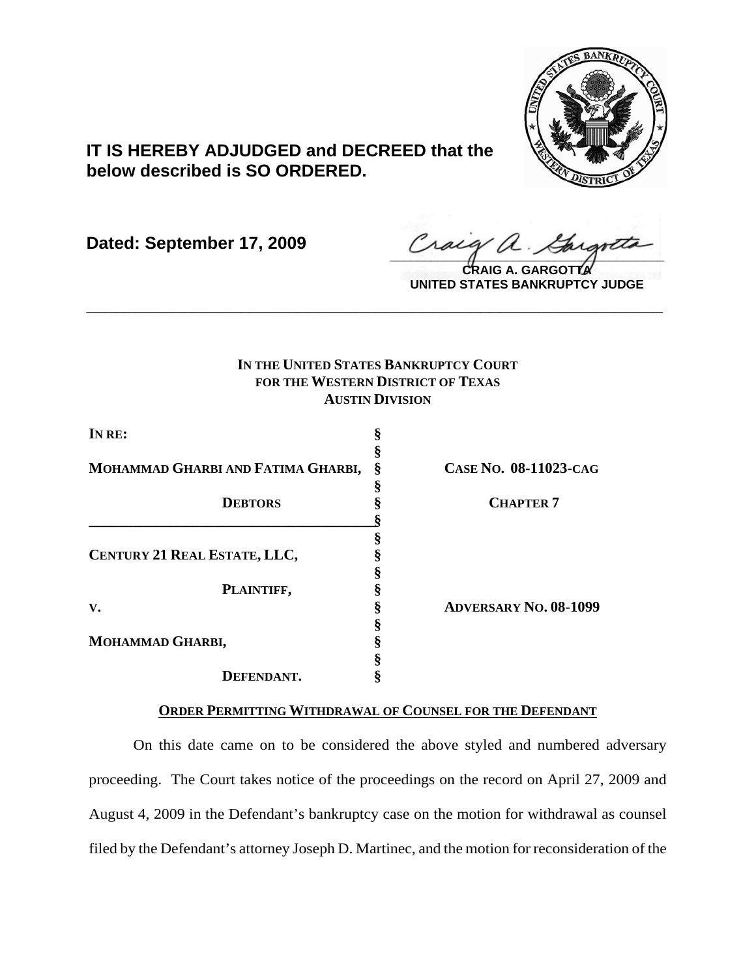

## **IT IS HEREBY ADJUDGED and DECREED that the below described is SO ORDERED.**

**Dated: September 17, 2009**

 $\frac{1}{2}$ 

**CRAIG A. GARGOTTA UNITED STATES BANKRUPTCY JUDGE**

## **IN THE UNITED STATES BANKRUPTCY COURT FOR THE WESTERN DISTRICT OF TEXAS AUSTIN DIVISION**

**\_\_\_\_\_\_\_\_\_\_\_\_\_\_\_\_\_\_\_\_\_\_\_\_\_\_\_\_\_\_\_\_\_\_\_\_\_\_\_\_\_\_\_\_\_\_\_\_\_\_\_\_\_\_\_\_\_\_\_\_**

| IN RE:                             |   |                              |
|------------------------------------|---|------------------------------|
|                                    |   |                              |
| MOHAMMAD GHARBI AND FATIMA GHARBI, | Ş | CASE NO. 08-11023-CAG        |
|                                    |   |                              |
| <b>DEBTORS</b>                     |   | <b>CHAPTER 7</b>             |
|                                    |   |                              |
|                                    |   |                              |
| CENTURY 21 REAL ESTATE, LLC,       |   |                              |
|                                    |   |                              |
| PLAINTIFF,                         |   |                              |
| V.                                 |   | <b>ADVERSARY NO. 08-1099</b> |
|                                    |   |                              |
| MOHAMMAD GHARBI,                   |   |                              |
|                                    |   |                              |
| DEFENDANT.                         |   |                              |

## **ORDER PERMITTING WITHDRAWAL OF COUNSEL FOR THE DEFENDANT**

On this date came on to be considered the above styled and numbered adversary proceeding. The Court takes notice of the proceedings on the record on April 27, 2009 and August 4, 2009 in the Defendant's bankruptcy case on the motion for withdrawal as counsel filed by the Defendant's attorney Joseph D. Martinec, and the motion for reconsideration of the